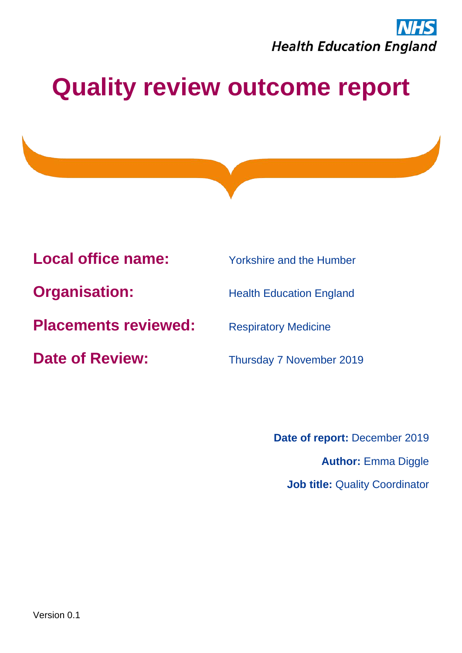

**Local office name:** Yorkshire and the Humber

**Organisation:** Health Education England

**Placements reviewed:** Respiratory Medicine

**Date of Review:** Thursday 7 November 2019

**Date of report:** December 2019 **Author:** Emma Diggle **Job title: Quality Coordinator**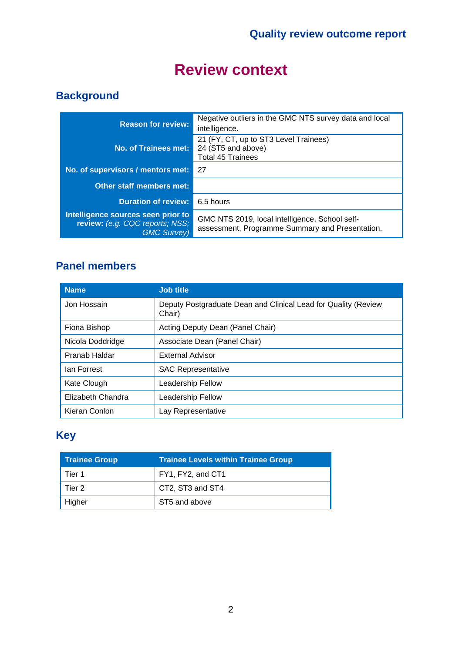# **Review context**

### **Background**

| <b>Reason for review:</b>                                                                   | Negative outliers in the GMC NTS survey data and local<br>intelligence.                           |
|---------------------------------------------------------------------------------------------|---------------------------------------------------------------------------------------------------|
| No. of Trainees met:                                                                        | 21 (FY, CT, up to ST3 Level Trainees)<br>24 (ST5 and above)<br><b>Total 45 Trainees</b>           |
| No. of supervisors / mentors met:                                                           | 27                                                                                                |
| <b>Other staff members met:</b>                                                             |                                                                                                   |
| <b>Duration of review:</b>                                                                  | 6.5 hours                                                                                         |
| Intelligence sources seen prior to<br>review: (e.g. CQC reports; NSS;<br><b>GMC Survey)</b> | GMC NTS 2019, local intelligence, School self-<br>assessment, Programme Summary and Presentation. |

### **Panel members**

| <b>Name</b>       | <b>Job title</b>                                                         |
|-------------------|--------------------------------------------------------------------------|
| Jon Hossain       | Deputy Postgraduate Dean and Clinical Lead for Quality (Review<br>Chair) |
| Fiona Bishop      | Acting Deputy Dean (Panel Chair)                                         |
| Nicola Doddridge  | Associate Dean (Panel Chair)                                             |
| Pranab Haldar     | <b>External Advisor</b>                                                  |
| lan Forrest       | <b>SAC Representative</b>                                                |
| Kate Clough       | Leadership Fellow                                                        |
| Elizabeth Chandra | Leadership Fellow                                                        |
| Kieran Conlon     | Lay Representative                                                       |

### **Key**

| <b>Trainee Group</b> | <b>Trainee Levels within Trainee Group</b> |
|----------------------|--------------------------------------------|
| Tier 1               | FY1, FY2, and CT1                          |
| l Tier 2             | CT2, ST3 and ST4                           |
| Higher               | ST5 and above                              |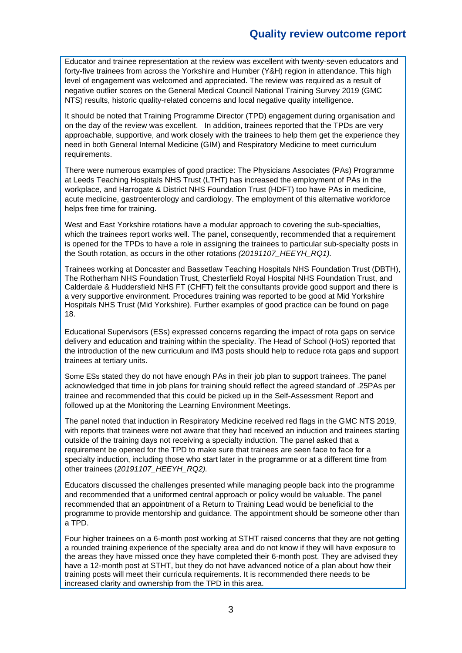Educator and trainee representation at the review was excellent with twenty-seven educators and forty-five trainees from across the Yorkshire and Humber (Y&H) region in attendance. This high level of engagement was welcomed and appreciated. The review was required as a result of negative outlier scores on the General Medical Council National Training Survey 2019 (GMC NTS) results, historic quality-related concerns and local negative quality intelligence.

It should be noted that Training Programme Director (TPD) engagement during organisation and on the day of the review was excellent. In addition, trainees reported that the TPDs are very approachable, supportive, and work closely with the trainees to help them get the experience they need in both General Internal Medicine (GIM) and Respiratory Medicine to meet curriculum requirements.

There were numerous examples of good practice: The Physicians Associates (PAs) Programme at Leeds Teaching Hospitals NHS Trust (LTHT) has increased the employment of PAs in the workplace, and Harrogate & District NHS Foundation Trust (HDFT) too have PAs in medicine, acute medicine, gastroenterology and cardiology. The employment of this alternative workforce helps free time for training.

West and East Yorkshire rotations have a modular approach to covering the sub-specialties, which the trainees report works well. The panel, consequently, recommended that a requirement is opened for the TPDs to have a role in assigning the trainees to particular sub-specialty posts in the South rotation, as occurs in the other rotations *(20191107\_HEEYH\_RQ1).* 

Trainees working at Doncaster and Bassetlaw Teaching Hospitals NHS Foundation Trust (DBTH), The Rotherham NHS Foundation Trust, Chesterfield Royal Hospital NHS Foundation Trust, and Calderdale & Huddersfield NHS FT (CHFT) felt the consultants provide good support and there is a very supportive environment. Procedures training was reported to be good at Mid Yorkshire Hospitals NHS Trust (Mid Yorkshire). Further examples of good practice can be found on page 18.

Educational Supervisors (ESs) expressed concerns regarding the impact of rota gaps on service delivery and education and training within the speciality. The Head of School (HoS) reported that the introduction of the new curriculum and IM3 posts should help to reduce rota gaps and support trainees at tertiary units.

Some ESs stated they do not have enough PAs in their job plan to support trainees. The panel acknowledged that time in job plans for training should reflect the agreed standard of .25PAs per trainee and recommended that this could be picked up in the Self-Assessment Report and followed up at the Monitoring the Learning Environment Meetings.

The panel noted that induction in Respiratory Medicine received red flags in the GMC NTS 2019, with reports that trainees were not aware that they had received an induction and trainees starting outside of the training days not receiving a specialty induction. The panel asked that a requirement be opened for the TPD to make sure that trainees are seen face to face for a specialty induction, including those who start later in the programme or at a different time from other trainees (*20191107\_HEEYH\_RQ2).*

Educators discussed the challenges presented while managing people back into the programme and recommended that a uniformed central approach or policy would be valuable. The panel recommended that an appointment of a Return to Training Lead would be beneficial to the programme to provide mentorship and guidance. The appointment should be someone other than a TPD.

Four higher trainees on a 6-month post working at STHT raised concerns that they are not getting a rounded training experience of the specialty area and do not know if they will have exposure to the areas they have missed once they have completed their 6-month post. They are advised they have a 12-month post at STHT, but they do not have advanced notice of a plan about how their training posts will meet their curricula requirements. It is recommended there needs to be increased clarity and ownership from the TPD in this area.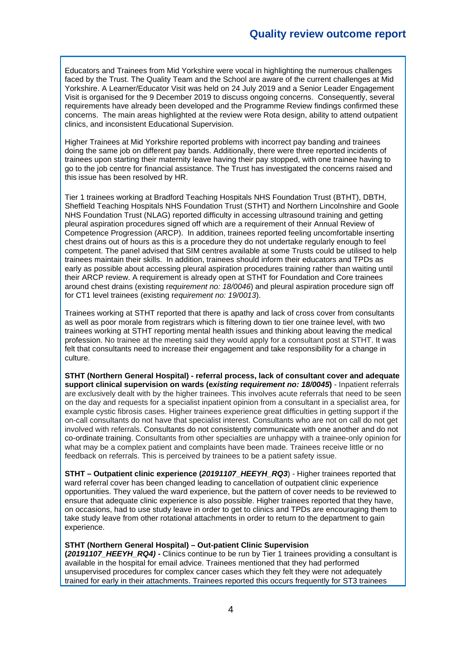Educators and Trainees from Mid Yorkshire were vocal in highlighting the numerous challenges faced by the Trust. The Quality Team and the School are aware of the current challenges at Mid Yorkshire. A Learner/Educator Visit was held on 24 July 2019 and a Senior Leader Engagement Visit is organised for the 9 December 2019 to discuss ongoing concerns. Consequently, several requirements have already been developed and the Programme Review findings confirmed these concerns. The main areas highlighted at the review were Rota design, ability to attend outpatient clinics, and inconsistent Educational Supervision.

Higher Trainees at Mid Yorkshire reported problems with incorrect pay banding and trainees doing the same job on different pay bands. Additionally, there were three reported incidents of trainees upon starting their maternity leave having their pay stopped, with one trainee having to go to the job centre for financial assistance. The Trust has investigated the concerns raised and this issue has been resolved by HR.

Tier 1 trainees working at Bradford Teaching Hospitals NHS Foundation Trust (BTHT), DBTH, Sheffield Teaching Hospitals NHS Foundation Trust (STHT) and Northern Lincolnshire and Goole NHS Foundation Trust (NLAG) reported difficulty in accessing ultrasound training and getting pleural aspiration procedures signed off which are a requirement of their Annual Review of Competence Progression (ARCP). In addition, trainees reported feeling uncomfortable inserting chest drains out of hours as this is a procedure they do not undertake regularly enough to feel competent. The panel advised that SIM centres available at some Trusts could be utilised to help trainees maintain their skills. In addition, trainees should inform their educators and TPDs as early as possible about accessing pleural aspiration procedures training rather than waiting until their ARCP review. A requirement is already open at STHT for Foundation and Core trainees around chest drains (existing r*equirement no: 18/0046*) and pleural aspiration procedure sign off for CT1 level trainees (existing r*equirement no: 19/0013*).

Trainees working at STHT reported that there is apathy and lack of cross cover from consultants as well as poor morale from registrars which is filtering down to tier one trainee level, with two trainees working at STHT reporting mental health issues and thinking about leaving the medical profession. No trainee at the meeting said they would apply for a consultant post at STHT. It was felt that consultants need to increase their engagement and take responsibility for a change in culture.

**STHT (Northern General Hospital) - referral process, lack of consultant cover and adequate support clinical supervision on wards (e***xisting* **r***equirement no: 18/0045***)** - Inpatient referrals are exclusively dealt with by the higher trainees. This involves acute referrals that need to be seen on the day and requests for a specialist inpatient opinion from a consultant in a specialist area, for example cystic fibrosis cases. Higher trainees experience great difficulties in getting support if the on-call consultants do not have that specialist interest. Consultants who are not on call do not get involved with referrals. Consultants do not consistently communicate with one another and do not co-ordinate training. Consultants from other specialties are unhappy with a trainee-only opinion for what may be a complex patient and complaints have been made. Trainees receive little or no feedback on referrals. This is perceived by trainees to be a patient safety issue.

**STHT – Outpatient clinic experience (***20191107\_HEEYH\_RQ3*) - Higher trainees reported that ward referral cover has been changed leading to cancellation of outpatient clinic experience opportunities. They valued the ward experience, but the pattern of cover needs to be reviewed to ensure that adequate clinic experience is also possible. Higher trainees reported that they have, on occasions, had to use study leave in order to get to clinics and TPDs are encouraging them to take study leave from other rotational attachments in order to return to the department to gain experience.

#### **STHT (Northern General Hospital) – Out-patient Clinic Supervision**

**(***20191107\_HEEYH\_RQ4) -* Clinics continue to be run by Tier 1 trainees providing a consultant is available in the hospital for email advice. Trainees mentioned that they had performed unsupervised procedures for complex cancer cases which they felt they were not adequately trained for early in their attachments. Trainees reported this occurs frequently for ST3 trainees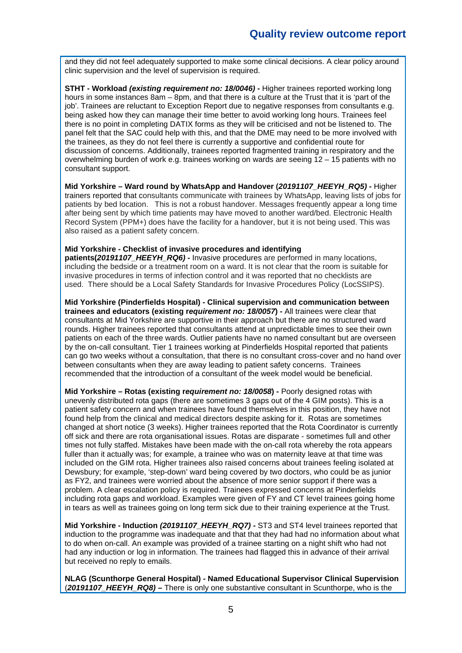and they did not feel adequately supported to make some clinical decisions. A clear policy around clinic supervision and the level of supervision is required.

**STHT - Workload** *(existing requirement no: 18/0046)* **-** Higher trainees reported working long hours in some instances 8am – 8pm, and that there is a culture at the Trust that it is 'part of the job'. Trainees are reluctant to Exception Report due to negative responses from consultants e.g. being asked how they can manage their time better to avoid working long hours. Trainees feel there is no point in completing DATIX forms as they will be criticised and not be listened to. The panel felt that the SAC could help with this, and that the DME may need to be more involved with the trainees, as they do not feel there is currently a supportive and confidential route for discussion of concerns. Additionally, trainees reported fragmented training in respiratory and the overwhelming burden of work e.g. trainees working on wards are seeing 12 – 15 patients with no consultant support.

**Mid Yorkshire – Ward round by WhatsApp and Handover (***20191107\_HEEYH\_RQ5) -* Higher trainers reported that consultants communicate with trainees by WhatsApp, leaving lists of jobs for patients by bed location. This is not a robust handover. Messages frequently appear a long time after being sent by which time patients may have moved to another ward/bed. Electronic Health Record System (PPM+) does have the facility for a handover, but it is not being used. This was also raised as a patient safety concern.

#### **Mid Yorkshire - Checklist of invasive procedures and identifying**

**patients(***20191107\_HEEYH\_RQ6) -* Invasive procedures are performed in many locations, including the bedside or a treatment room on a ward. It is not clear that the room is suitable for invasive procedures in terms of infection control and it was reported that no checklists are used. There should be a Local Safety Standards for Invasive Procedures Policy (LocSSIPS).

**Mid Yorkshire (Pinderfields Hospital) - Clinical supervision and communication between trainees and educators (existing r***equirement no: 18/0057***) -** All trainees were clear that consultants at Mid Yorkshire are supportive in their approach but there are no structured ward rounds. Higher trainees reported that consultants attend at unpredictable times to see their own patients on each of the three wards. Outlier patients have no named consultant but are overseen by the on-call consultant. Tier 1 trainees working at Pinderfields Hospital reported that patients can go two weeks without a consultation, that there is no consultant cross-cover and no hand over between consultants when they are away leading to patient safety concerns. Trainees recommended that the introduction of a consultant of the week model would be beneficial.

**Mid Yorkshire – Rotas (existing r***equirement no: 18/0058***) -** Poorly designed rotas with unevenly distributed rota gaps (there are sometimes 3 gaps out of the 4 GIM posts). This is a patient safety concern and when trainees have found themselves in this position, they have not found help from the clinical and medical directors despite asking for it. Rotas are sometimes changed at short notice (3 weeks). Higher trainees reported that the Rota Coordinator is currently off sick and there are rota organisational issues. Rotas are disparate - sometimes full and other times not fully staffed. Mistakes have been made with the on-call rota whereby the rota appears fuller than it actually was; for example, a trainee who was on maternity leave at that time was included on the GIM rota. Higher trainees also raised concerns about trainees feeling isolated at Dewsbury; for example, 'step-down' ward being covered by two doctors, who could be as junior as FY2, and trainees were worried about the absence of more senior support if there was a problem. A clear escalation policy is required. Trainees expressed concerns at Pinderfields including rota gaps and workload. Examples were given of FY and CT level trainees going home in tears as well as trainees going on long term sick due to their training experience at the Trust.

**Mid Yorkshire - Induction** *(20191107\_HEEYH\_RQ7) -* ST3 and ST4 level trainees reported that induction to the programme was inadequate and that that they had had no information about what to do when on-call. An example was provided of a trainee starting on a night shift who had not had any induction or log in information. The trainees had flagged this in advance of their arrival but received no reply to emails.

**NLAG (Scunthorpe General Hospital) - Named Educational Supervisor Clinical Supervision** (*20191107\_HEEYH\_RQ8)* **–** There is only one substantive consultant in Scunthorpe, who is the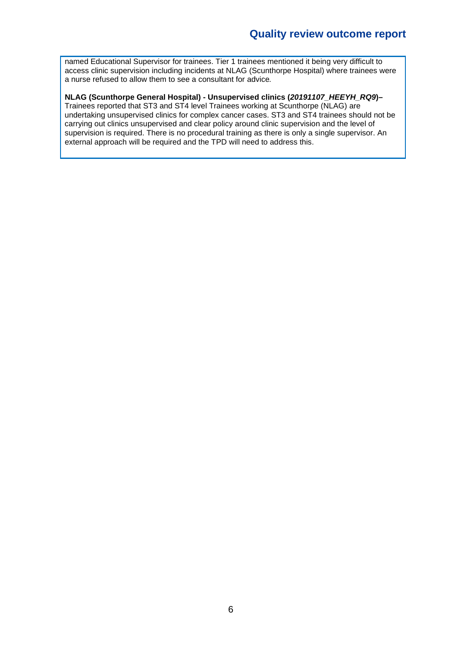named Educational Supervisor for trainees. Tier 1 trainees mentioned it being very difficult to access clinic supervision including incidents at NLAG (Scunthorpe Hospital) where trainees were a nurse refused to allow them to see a consultant for advice*.*

#### **NLAG (Scunthorpe General Hospital) - Unsupervised clinics (***20191107\_HEEYH\_RQ9***)–**

Trainees reported that ST3 and ST4 level Trainees working at Scunthorpe (NLAG) are undertaking unsupervised clinics for complex cancer cases. ST3 and ST4 trainees should not be carrying out clinics unsupervised and clear policy around clinic supervision and the level of supervision is required. There is no procedural training as there is only a single supervisor. An external approach will be required and the TPD will need to address this.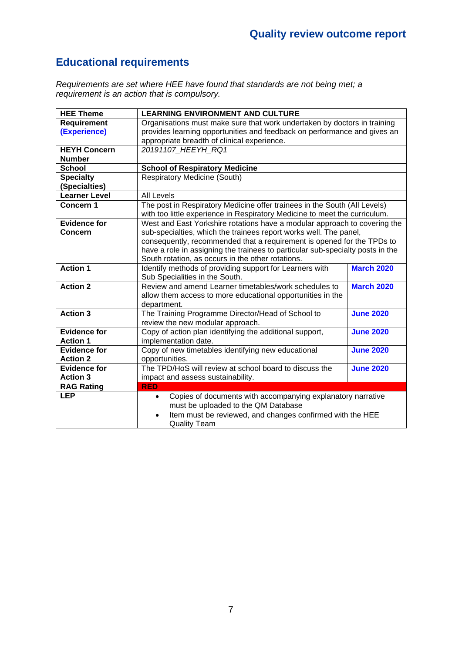### **Educational requirements**

*Requirements are set where HEE have found that standards are not being met; a requirement is an action that is compulsory.*

| <b>HEE Theme</b>     | <b>LEARNING ENVIRONMENT AND CULTURE</b>                                        |                   |
|----------------------|--------------------------------------------------------------------------------|-------------------|
| Requirement          | Organisations must make sure that work undertaken by doctors in training       |                   |
| (Experience)         | provides learning opportunities and feedback on performance and gives an       |                   |
|                      | appropriate breadth of clinical experience.                                    |                   |
| <b>HEYH Concern</b>  | 20191107 HEEYH RQ1                                                             |                   |
| <b>Number</b>        |                                                                                |                   |
| <b>School</b>        | <b>School of Respiratory Medicine</b>                                          |                   |
| <b>Specialty</b>     | <b>Respiratory Medicine (South)</b>                                            |                   |
| (Specialties)        |                                                                                |                   |
| <b>Learner Level</b> | <b>All Levels</b>                                                              |                   |
| Concern 1            | The post in Respiratory Medicine offer trainees in the South (All Levels)      |                   |
|                      | with too little experience in Respiratory Medicine to meet the curriculum.     |                   |
| <b>Evidence for</b>  | West and East Yorkshire rotations have a modular approach to covering the      |                   |
| Concern              | sub-specialties, which the trainees report works well. The panel,              |                   |
|                      | consequently, recommended that a requirement is opened for the TPDs to         |                   |
|                      | have a role in assigning the trainees to particular sub-specialty posts in the |                   |
|                      | South rotation, as occurs in the other rotations.                              |                   |
| <b>Action 1</b>      | Identify methods of providing support for Learners with                        | <b>March 2020</b> |
|                      | Sub Specialities in the South.                                                 |                   |
| <b>Action 2</b>      | Review and amend Learner timetables/work schedules to                          | <b>March 2020</b> |
|                      | allow them access to more educational opportunities in the                     |                   |
|                      | department.                                                                    |                   |
| <b>Action 3</b>      | The Training Programme Director/Head of School to                              | <b>June 2020</b>  |
|                      | review the new modular approach.                                               |                   |
| <b>Evidence for</b>  | Copy of action plan identifying the additional support,                        | <b>June 2020</b>  |
| <b>Action 1</b>      | implementation date.                                                           |                   |
| <b>Evidence for</b>  | Copy of new timetables identifying new educational                             | <b>June 2020</b>  |
| <b>Action 2</b>      | opportunities.                                                                 |                   |
| <b>Evidence for</b>  | The TPD/HoS will review at school board to discuss the                         | <b>June 2020</b>  |
| <b>Action 3</b>      | impact and assess sustainability.                                              |                   |
| <b>RAG Rating</b>    | <b>RED</b>                                                                     |                   |
| <b>LEP</b>           | Copies of documents with accompanying explanatory narrative<br>$\bullet$       |                   |
|                      | must be uploaded to the QM Database                                            |                   |
|                      | Item must be reviewed, and changes confirmed with the HEE<br>$\bullet$         |                   |
|                      | <b>Quality Team</b>                                                            |                   |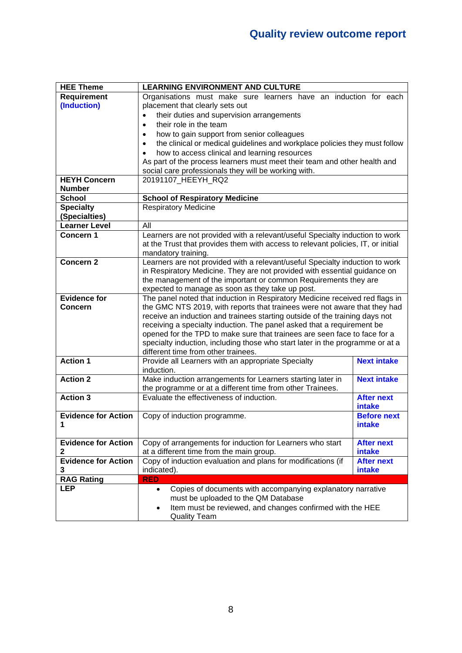| <b>HEE Theme</b>           | <b>LEARNING ENVIRONMENT AND CULTURE</b>                                                                                                                  |                    |  |
|----------------------------|----------------------------------------------------------------------------------------------------------------------------------------------------------|--------------------|--|
| Requirement                | Organisations must make sure learners have an induction for each                                                                                         |                    |  |
| (Induction)                | placement that clearly sets out                                                                                                                          |                    |  |
|                            | their duties and supervision arrangements                                                                                                                |                    |  |
|                            | their role in the team<br>$\bullet$                                                                                                                      |                    |  |
|                            | how to gain support from senior colleagues                                                                                                               |                    |  |
|                            | the clinical or medical guidelines and workplace policies they must follow                                                                               |                    |  |
|                            | how to access clinical and learning resources                                                                                                            |                    |  |
|                            | As part of the process learners must meet their team and other health and                                                                                |                    |  |
|                            | social care professionals they will be working with.                                                                                                     |                    |  |
| <b>HEYH Concern</b>        | 20191107_HEEYH_RQ2                                                                                                                                       |                    |  |
| <b>Number</b>              |                                                                                                                                                          |                    |  |
| <b>School</b>              | <b>School of Respiratory Medicine</b>                                                                                                                    |                    |  |
| <b>Specialty</b>           | <b>Respiratory Medicine</b>                                                                                                                              |                    |  |
| (Specialties)              |                                                                                                                                                          |                    |  |
| <b>Learner Level</b>       | All                                                                                                                                                      |                    |  |
| Concern 1                  | Learners are not provided with a relevant/useful Specialty induction to work                                                                             |                    |  |
|                            | at the Trust that provides them with access to relevant policies, IT, or initial                                                                         |                    |  |
|                            | mandatory training.                                                                                                                                      |                    |  |
| <b>Concern 2</b>           | Learners are not provided with a relevant/useful Specialty induction to work                                                                             |                    |  |
|                            | in Respiratory Medicine. They are not provided with essential guidance on                                                                                |                    |  |
|                            | the management of the important or common Requirements they are                                                                                          |                    |  |
|                            | expected to manage as soon as they take up post.                                                                                                         |                    |  |
| <b>Evidence for</b>        | The panel noted that induction in Respiratory Medicine received red flags in                                                                             |                    |  |
| <b>Concern</b>             | the GMC NTS 2019, with reports that trainees were not aware that they had<br>receive an induction and trainees starting outside of the training days not |                    |  |
|                            | receiving a specialty induction. The panel asked that a requirement be                                                                                   |                    |  |
|                            | opened for the TPD to make sure that trainees are seen face to face for a                                                                                |                    |  |
|                            | specialty induction, including those who start later in the programme or at a                                                                            |                    |  |
|                            | different time from other trainees.                                                                                                                      |                    |  |
| <b>Action 1</b>            | Provide all Learners with an appropriate Specialty                                                                                                       | <b>Next intake</b> |  |
|                            | induction.                                                                                                                                               |                    |  |
| <b>Action 2</b>            | Make induction arrangements for Learners starting later in                                                                                               | <b>Next intake</b> |  |
|                            | the programme or at a different time from other Trainees.                                                                                                |                    |  |
| <b>Action 3</b>            | Evaluate the effectiveness of induction.                                                                                                                 | <b>After next</b>  |  |
|                            |                                                                                                                                                          | intake             |  |
| <b>Evidence for Action</b> | Copy of induction programme.                                                                                                                             | <b>Before next</b> |  |
| 1                          |                                                                                                                                                          | intake             |  |
|                            |                                                                                                                                                          |                    |  |
| <b>Evidence for Action</b> | Copy of arrangements for induction for Learners who start                                                                                                | <b>After next</b>  |  |
| 2                          | at a different time from the main group.                                                                                                                 | intake             |  |
| <b>Evidence for Action</b> | Copy of induction evaluation and plans for modifications (if                                                                                             | <b>After next</b>  |  |
| 3                          | indicated).                                                                                                                                              | intake             |  |
| <b>RAG Rating</b>          | <b>RED</b>                                                                                                                                               |                    |  |
| <b>LEP</b>                 | Copies of documents with accompanying explanatory narrative<br>$\bullet$                                                                                 |                    |  |
|                            | must be uploaded to the QM Database                                                                                                                      |                    |  |
|                            | Item must be reviewed, and changes confirmed with the HEE                                                                                                |                    |  |
|                            | <b>Quality Team</b>                                                                                                                                      |                    |  |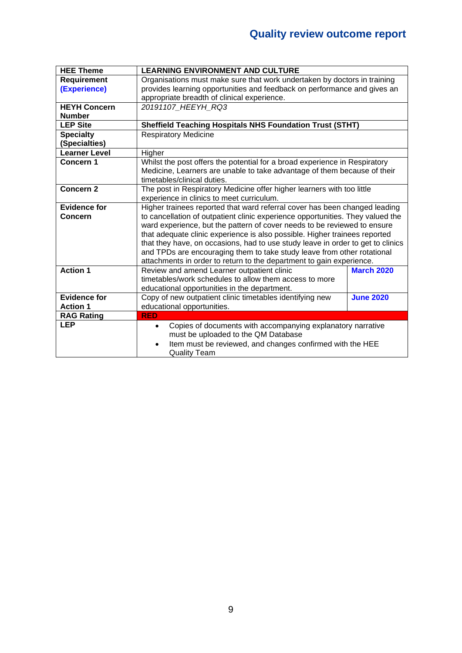| <b>HEE Theme</b>     | <b>LEARNING ENVIRONMENT AND CULTURE</b>                                         |                   |  |
|----------------------|---------------------------------------------------------------------------------|-------------------|--|
| <b>Requirement</b>   | Organisations must make sure that work undertaken by doctors in training        |                   |  |
| (Experience)         | provides learning opportunities and feedback on performance and gives an        |                   |  |
|                      | appropriate breadth of clinical experience.                                     |                   |  |
| <b>HEYH Concern</b>  | 20191107 HEEYH RQ3                                                              |                   |  |
| <b>Number</b>        |                                                                                 |                   |  |
| <b>LEP Site</b>      | <b>Sheffield Teaching Hospitals NHS Foundation Trust (STHT)</b>                 |                   |  |
| <b>Specialty</b>     | <b>Respiratory Medicine</b>                                                     |                   |  |
| (Specialties)        |                                                                                 |                   |  |
| <b>Learner Level</b> | Higher                                                                          |                   |  |
| Concern 1            | Whilst the post offers the potential for a broad experience in Respiratory      |                   |  |
|                      | Medicine, Learners are unable to take advantage of them because of their        |                   |  |
|                      | timetables/clinical duties.                                                     |                   |  |
| <b>Concern 2</b>     | The post in Respiratory Medicine offer higher learners with too little          |                   |  |
|                      | experience in clinics to meet curriculum.                                       |                   |  |
| <b>Evidence for</b>  | Higher trainees reported that ward referral cover has been changed leading      |                   |  |
| <b>Concern</b>       | to cancellation of outpatient clinic experience opportunities. They valued the  |                   |  |
|                      | ward experience, but the pattern of cover needs to be reviewed to ensure        |                   |  |
|                      | that adequate clinic experience is also possible. Higher trainees reported      |                   |  |
|                      | that they have, on occasions, had to use study leave in order to get to clinics |                   |  |
|                      | and TPDs are encouraging them to take study leave from other rotational         |                   |  |
|                      | attachments in order to return to the department to gain experience.            |                   |  |
| <b>Action 1</b>      | Review and amend Learner outpatient clinic                                      | <b>March 2020</b> |  |
|                      | timetables/work schedules to allow them access to more                          |                   |  |
|                      | educational opportunities in the department.                                    |                   |  |
| <b>Evidence for</b>  | Copy of new outpatient clinic timetables identifying new                        | <b>June 2020</b>  |  |
| <b>Action 1</b>      | educational opportunities.                                                      |                   |  |
| <b>RAG Rating</b>    | <b>RED</b>                                                                      |                   |  |
| <b>LEP</b>           | Copies of documents with accompanying explanatory narrative<br>$\bullet$        |                   |  |
|                      | must be uploaded to the QM Database                                             |                   |  |
|                      | Item must be reviewed, and changes confirmed with the HEE<br>$\bullet$          |                   |  |
|                      | <b>Quality Team</b>                                                             |                   |  |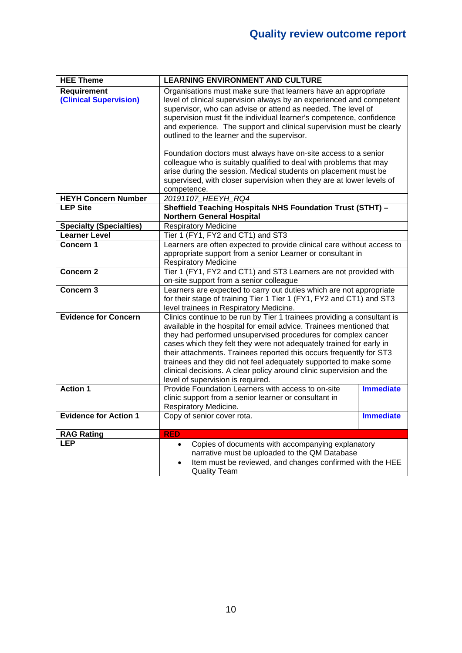| <b>HEE Theme</b>               | <b>LEARNING ENVIRONMENT AND CULTURE</b>                                                                   |                  |
|--------------------------------|-----------------------------------------------------------------------------------------------------------|------------------|
| <b>Requirement</b>             | Organisations must make sure that learners have an appropriate                                            |                  |
| (Clinical Supervision)         | level of clinical supervision always by an experienced and competent                                      |                  |
|                                | supervisor, who can advise or attend as needed. The level of                                              |                  |
|                                | supervision must fit the individual learner's competence, confidence                                      |                  |
|                                | and experience. The support and clinical supervision must be clearly                                      |                  |
|                                | outlined to the learner and the supervisor.                                                               |                  |
|                                | Foundation doctors must always have on-site access to a senior                                            |                  |
|                                | colleague who is suitably qualified to deal with problems that may                                        |                  |
|                                | arise during the session. Medical students on placement must be                                           |                  |
|                                | supervised, with closer supervision when they are at lower levels of                                      |                  |
|                                | competence.                                                                                               |                  |
| <b>HEYH Concern Number</b>     | 20191107_HEEYH_RQ4                                                                                        |                  |
| <b>LEP Site</b>                | Sheffield Teaching Hospitals NHS Foundation Trust (STHT) -                                                |                  |
|                                | <b>Northern General Hospital</b>                                                                          |                  |
| <b>Specialty (Specialties)</b> | <b>Respiratory Medicine</b>                                                                               |                  |
| <b>Learner Level</b>           | Tier 1 (FY1, FY2 and CT1) and ST3                                                                         |                  |
| Concern 1                      | Learners are often expected to provide clinical care without access to                                    |                  |
|                                | appropriate support from a senior Learner or consultant in                                                |                  |
|                                | <b>Respiratory Medicine</b>                                                                               |                  |
| <b>Concern 2</b>               | Tier 1 (FY1, FY2 and CT1) and ST3 Learners are not provided with                                          |                  |
|                                | on-site support from a senior colleague                                                                   |                  |
| Concern 3                      | Learners are expected to carry out duties which are not appropriate                                       |                  |
|                                | for their stage of training Tier 1 Tier 1 (FY1, FY2 and CT1) and ST3                                      |                  |
|                                | level trainees in Respiratory Medicine.                                                                   |                  |
| <b>Evidence for Concern</b>    | Clinics continue to be run by Tier 1 trainees providing a consultant is                                   |                  |
|                                | available in the hospital for email advice. Trainees mentioned that                                       |                  |
|                                | they had performed unsupervised procedures for complex cancer                                             |                  |
|                                | cases which they felt they were not adequately trained for early in                                       |                  |
|                                | their attachments. Trainees reported this occurs frequently for ST3                                       |                  |
|                                | trainees and they did not feel adequately supported to make some                                          |                  |
|                                | clinical decisions. A clear policy around clinic supervision and the<br>level of supervision is required. |                  |
| <b>Action 1</b>                | Provide Foundation Learners with access to on-site                                                        | <b>Immediate</b> |
|                                | clinic support from a senior learner or consultant in                                                     |                  |
|                                | Respiratory Medicine.                                                                                     |                  |
| <b>Evidence for Action 1</b>   | Copy of senior cover rota.                                                                                | <b>Immediate</b> |
|                                |                                                                                                           |                  |
| <b>RAG Rating</b>              | <b>RED</b>                                                                                                |                  |
| <b>LEP</b>                     | Copies of documents with accompanying explanatory                                                         |                  |
|                                | narrative must be uploaded to the QM Database                                                             |                  |
|                                | Item must be reviewed, and changes confirmed with the HEE                                                 |                  |
|                                | <b>Quality Team</b>                                                                                       |                  |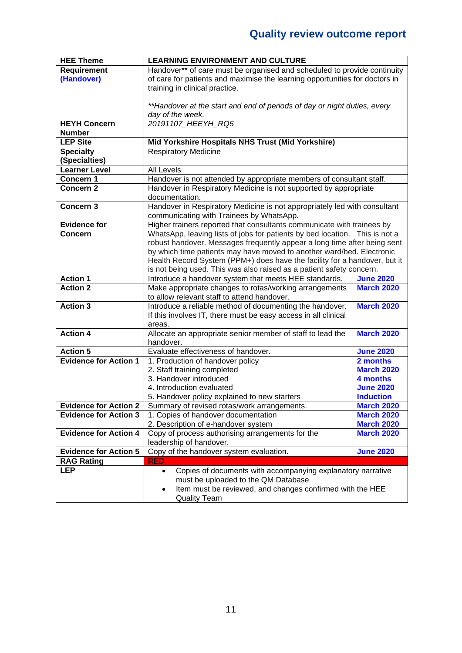| <b>HEE Theme</b>             | <b>LEARNING ENVIRONMENT AND CULTURE</b>                                     |                   |
|------------------------------|-----------------------------------------------------------------------------|-------------------|
| Requirement                  | Handover** of care must be organised and scheduled to provide continuity    |                   |
| (Handover)                   | of care for patients and maximise the learning opportunities for doctors in |                   |
|                              | training in clinical practice.                                              |                   |
|                              |                                                                             |                   |
|                              | **Handover at the start and end of periods of day or night duties, every    |                   |
|                              | day of the week.                                                            |                   |
| <b>HEYH Concern</b>          | 20191107_HEEYH_RQ5                                                          |                   |
| <b>Number</b>                |                                                                             |                   |
| <b>LEP Site</b>              | Mid Yorkshire Hospitals NHS Trust (Mid Yorkshire)                           |                   |
| <b>Specialty</b>             | <b>Respiratory Medicine</b>                                                 |                   |
| (Specialties)                |                                                                             |                   |
| <b>Learner Level</b>         | <b>All Levels</b>                                                           |                   |
| Concern 1                    | Handover is not attended by appropriate members of consultant staff.        |                   |
| Concern <sub>2</sub>         | Handover in Respiratory Medicine is not supported by appropriate            |                   |
|                              | documentation.                                                              |                   |
| Concern 3                    | Handover in Respiratory Medicine is not appropriately led with consultant   |                   |
|                              | communicating with Trainees by WhatsApp.                                    |                   |
| <b>Evidence for</b>          | Higher trainers reported that consultants communicate with trainees by      |                   |
| <b>Concern</b>               | WhatsApp, leaving lists of jobs for patients by bed location. This is not a |                   |
|                              | robust handover. Messages frequently appear a long time after being sent    |                   |
|                              | by which time patients may have moved to another ward/bed. Electronic       |                   |
|                              | Health Record System (PPM+) does have the facility for a handover, but it   |                   |
|                              | is not being used. This was also raised as a patient safety concern.        |                   |
| <b>Action 1</b>              | Introduce a handover system that meets HEE standards.                       | <b>June 2020</b>  |
| <b>Action 2</b>              | Make appropriate changes to rotas/working arrangements                      | <b>March 2020</b> |
|                              | to allow relevant staff to attend handover.                                 |                   |
| <b>Action 3</b>              | Introduce a reliable method of documenting the handover.                    | <b>March 2020</b> |
|                              | If this involves IT, there must be easy access in all clinical              |                   |
| <b>Action 4</b>              | areas.                                                                      | <b>March 2020</b> |
|                              | Allocate an appropriate senior member of staff to lead the                  |                   |
| <b>Action 5</b>              | handover.<br>Evaluate effectiveness of handover.                            | <b>June 2020</b>  |
| <b>Evidence for Action 1</b> | 1. Production of handover policy                                            | 2 months          |
|                              | 2. Staff training completed                                                 | <b>March 2020</b> |
|                              | 3. Handover introduced                                                      | 4 months          |
|                              | 4. Introduction evaluated                                                   | <b>June 2020</b>  |
|                              | 5. Handover policy explained to new starters                                | <b>Induction</b>  |
| <b>Evidence for Action 2</b> | Summary of revised rotas/work arrangements.                                 | <b>March 2020</b> |
| <b>Evidence for Action 3</b> | 1. Copies of handover documentation                                         | <b>March 2020</b> |
|                              | 2. Description of e-handover system                                         | <b>March 2020</b> |
| <b>Evidence for Action 4</b> | Copy of process authorising arrangements for the                            | <b>March 2020</b> |
|                              | leadership of handover.                                                     |                   |
| <b>Evidence for Action 5</b> | Copy of the handover system evaluation.<br><b>June 2020</b>                 |                   |
| <b>RAG Rating</b>            | <b>RED</b>                                                                  |                   |
| <b>LEP</b>                   | Copies of documents with accompanying explanatory narrative<br>$\bullet$    |                   |
|                              | must be uploaded to the QM Database                                         |                   |
|                              | Item must be reviewed, and changes confirmed with the HEE<br>٠              |                   |
|                              | <b>Quality Team</b>                                                         |                   |
|                              |                                                                             |                   |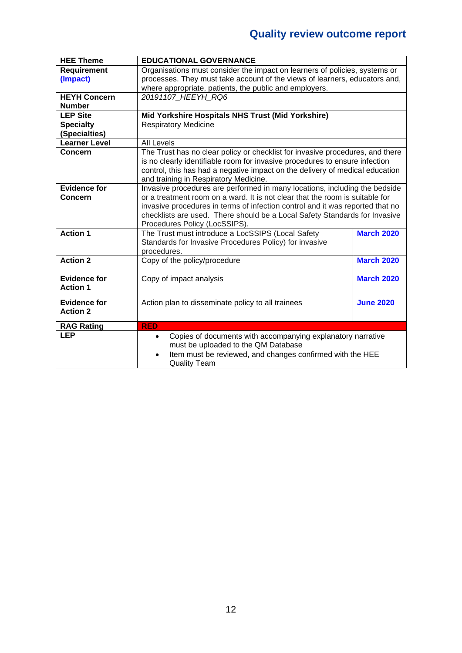| <b>HEE Theme</b>     | <b>EDUCATIONAL GOVERNANCE</b>                                                 |                   |
|----------------------|-------------------------------------------------------------------------------|-------------------|
| <b>Requirement</b>   | Organisations must consider the impact on learners of policies, systems or    |                   |
| (Impact)             | processes. They must take account of the views of learners, educators and,    |                   |
|                      | where appropriate, patients, the public and employers.                        |                   |
| <b>HEYH Concern</b>  | 20191107 HEEYH RQ6                                                            |                   |
| <b>Number</b>        |                                                                               |                   |
| <b>LEP Site</b>      | Mid Yorkshire Hospitals NHS Trust (Mid Yorkshire)                             |                   |
| <b>Specialty</b>     | <b>Respiratory Medicine</b>                                                   |                   |
| (Specialties)        |                                                                               |                   |
| <b>Learner Level</b> | <b>All Levels</b>                                                             |                   |
| <b>Concern</b>       | The Trust has no clear policy or checklist for invasive procedures, and there |                   |
|                      | is no clearly identifiable room for invasive procedures to ensure infection   |                   |
|                      | control, this has had a negative impact on the delivery of medical education  |                   |
|                      | and training in Respiratory Medicine.                                         |                   |
| <b>Evidence for</b>  | Invasive procedures are performed in many locations, including the bedside    |                   |
| <b>Concern</b>       | or a treatment room on a ward. It is not clear that the room is suitable for  |                   |
|                      | invasive procedures in terms of infection control and it was reported that no |                   |
|                      | checklists are used. There should be a Local Safety Standards for Invasive    |                   |
|                      | Procedures Policy (LocSSIPS).                                                 |                   |
| <b>Action 1</b>      | The Trust must introduce a LocSSIPS (Local Safety                             | <b>March 2020</b> |
|                      | Standards for Invasive Procedures Policy) for invasive                        |                   |
|                      | procedures.                                                                   |                   |
| <b>Action 2</b>      | Copy of the policy/procedure                                                  | <b>March 2020</b> |
|                      |                                                                               |                   |
| <b>Evidence for</b>  | Copy of impact analysis                                                       | <b>March 2020</b> |
| <b>Action 1</b>      |                                                                               |                   |
| <b>Evidence for</b>  | Action plan to disseminate policy to all trainees                             | <b>June 2020</b>  |
| <b>Action 2</b>      |                                                                               |                   |
|                      |                                                                               |                   |
| <b>RAG Rating</b>    | <b>RED</b>                                                                    |                   |
| <b>LEP</b>           | Copies of documents with accompanying explanatory narrative<br>$\bullet$      |                   |
|                      | must be uploaded to the QM Database                                           |                   |
|                      | Item must be reviewed, and changes confirmed with the HEE<br>$\bullet$        |                   |
|                      | <b>Quality Team</b>                                                           |                   |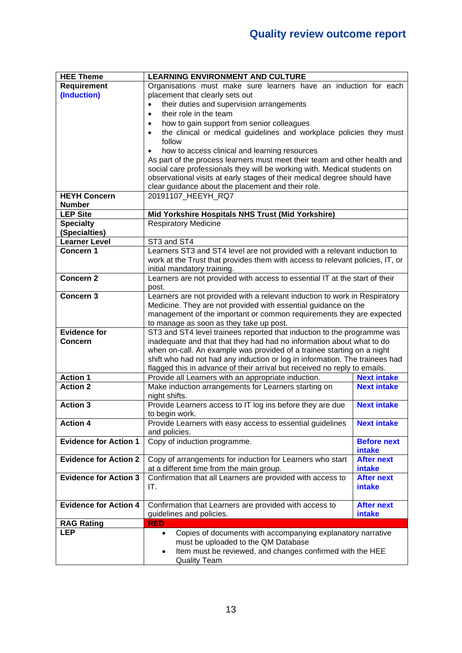| <b>HEE Theme</b>             | <b>LEARNING ENVIRONMENT AND CULTURE</b>                                          |                    |  |
|------------------------------|----------------------------------------------------------------------------------|--------------------|--|
| <b>Requirement</b>           | Organisations must make sure learners have an induction for each                 |                    |  |
| (Induction)                  | placement that clearly sets out                                                  |                    |  |
|                              | their duties and supervision arrangements<br>$\bullet$                           |                    |  |
|                              | their role in the team<br>$\bullet$                                              |                    |  |
|                              | how to gain support from senior colleagues<br>$\bullet$                          |                    |  |
|                              | the clinical or medical guidelines and workplace policies they must<br>$\bullet$ |                    |  |
|                              | follow                                                                           |                    |  |
|                              | how to access clinical and learning resources                                    |                    |  |
|                              | As part of the process learners must meet their team and other health and        |                    |  |
|                              | social care professionals they will be working with. Medical students on         |                    |  |
|                              | observational visits at early stages of their medical degree should have         |                    |  |
|                              | clear guidance about the placement and their role.                               |                    |  |
| <b>HEYH Concern</b>          | 20191107 HEEYH RQ7                                                               |                    |  |
| <b>Number</b>                |                                                                                  |                    |  |
| <b>LEP Site</b>              | Mid Yorkshire Hospitals NHS Trust (Mid Yorkshire)                                |                    |  |
| <b>Specialty</b>             | <b>Respiratory Medicine</b>                                                      |                    |  |
| (Specialties)                |                                                                                  |                    |  |
| <b>Learner Level</b>         | ST3 and ST4                                                                      |                    |  |
| Concern <sub>1</sub>         | Learners ST3 and ST4 level are not provided with a relevant induction to         |                    |  |
|                              | work at the Trust that provides them with access to relevant policies, IT, or    |                    |  |
|                              | initial mandatory training.                                                      |                    |  |
| <b>Concern 2</b>             | Learners are not provided with access to essential IT at the start of their      |                    |  |
|                              | post.                                                                            |                    |  |
| Concern <sub>3</sub>         | Learners are not provided with a relevant induction to work in Respiratory       |                    |  |
|                              | Medicine. They are not provided with essential guidance on the                   |                    |  |
|                              | management of the important or common requirements they are expected             |                    |  |
|                              | to manage as soon as they take up post.                                          |                    |  |
| <b>Evidence for</b>          | ST3 and ST4 level trainees reported that induction to the programme was          |                    |  |
| <b>Concern</b>               | inadequate and that that they had had no information about what to do            |                    |  |
|                              | when on-call. An example was provided of a trainee starting on a night           |                    |  |
|                              | shift who had not had any induction or log in information. The trainees had      |                    |  |
|                              | flagged this in advance of their arrival but received no reply to emails.        |                    |  |
| <b>Action 1</b>              | Provide all Learners with an appropriate induction.                              | <b>Next intake</b> |  |
| <b>Action 2</b>              | Make induction arrangements for Learners starting on                             | <b>Next intake</b> |  |
|                              | night shifts.                                                                    |                    |  |
| <b>Action 3</b>              | Provide Learners access to IT log ins before they are due                        | <b>Next intake</b> |  |
|                              | to begin work.                                                                   |                    |  |
| <b>Action 4</b>              | Provide Learners with easy access to essential guidelines                        | <b>Next intake</b> |  |
|                              | and policies.                                                                    |                    |  |
| <b>Evidence for Action 1</b> | Copy of induction programme.                                                     | <b>Before next</b> |  |
|                              |                                                                                  | intake             |  |
| <b>Evidence for Action 2</b> | Copy of arrangements for induction for Learners who start                        | <b>After next</b>  |  |
|                              | at a different time from the main group.                                         | intake             |  |
| <b>Evidence for Action 3</b> | Confirmation that all Learners are provided with access to                       | <b>After next</b>  |  |
|                              | IT.                                                                              | intake             |  |
|                              |                                                                                  |                    |  |
| <b>Evidence for Action 4</b> | Confirmation that Learners are provided with access to                           | <b>After next</b>  |  |
|                              | guidelines and policies.                                                         | intake             |  |
| <b>RAG Rating</b>            | <b>RED</b>                                                                       |                    |  |
| <b>LEP</b>                   | Copies of documents with accompanying explanatory narrative<br>$\bullet$         |                    |  |
|                              | must be uploaded to the QM Database                                              |                    |  |
|                              | Item must be reviewed, and changes confirmed with the HEE                        |                    |  |
|                              | <b>Quality Team</b>                                                              |                    |  |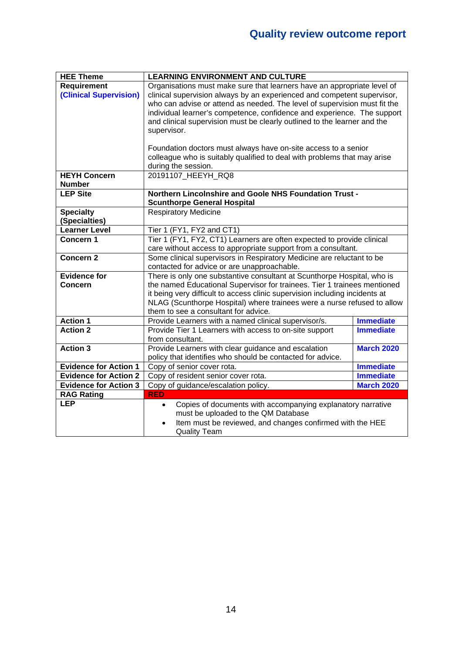| <b>HEE Theme</b>                      | <b>LEARNING ENVIRONMENT AND CULTURE</b>                                                                                                |                   |  |
|---------------------------------------|----------------------------------------------------------------------------------------------------------------------------------------|-------------------|--|
| <b>Requirement</b>                    | Organisations must make sure that learners have an appropriate level of                                                                |                   |  |
| <b>(Clinical Supervision)</b>         | clinical supervision always by an experienced and competent supervisor,                                                                |                   |  |
|                                       | who can advise or attend as needed. The level of supervision must fit the                                                              |                   |  |
|                                       | individual learner's competence, confidence and experience. The support                                                                |                   |  |
|                                       | and clinical supervision must be clearly outlined to the learner and the                                                               |                   |  |
|                                       | supervisor.                                                                                                                            |                   |  |
|                                       |                                                                                                                                        |                   |  |
|                                       | Foundation doctors must always have on-site access to a senior                                                                         |                   |  |
|                                       | colleague who is suitably qualified to deal with problems that may arise                                                               |                   |  |
|                                       | during the session.                                                                                                                    |                   |  |
| <b>HEYH Concern</b>                   | 20191107 HEEYH RQ8                                                                                                                     |                   |  |
| <b>Number</b>                         |                                                                                                                                        |                   |  |
| <b>LEP Site</b>                       | Northern Lincolnshire and Goole NHS Foundation Trust -                                                                                 |                   |  |
|                                       | <b>Scunthorpe General Hospital</b><br><b>Respiratory Medicine</b>                                                                      |                   |  |
| <b>Specialty</b>                      |                                                                                                                                        |                   |  |
| (Specialties)<br><b>Learner Level</b> |                                                                                                                                        |                   |  |
| Concern 1                             | Tier 1 (FY1, FY2 and CT1)                                                                                                              |                   |  |
|                                       | Tier 1 (FY1, FY2, CT1) Learners are often expected to provide clinical                                                                 |                   |  |
| <b>Concern 2</b>                      | care without access to appropriate support from a consultant.<br>Some clinical supervisors in Respiratory Medicine are reluctant to be |                   |  |
|                                       | contacted for advice or are unapproachable.                                                                                            |                   |  |
| <b>Evidence for</b>                   | There is only one substantive consultant at Scunthorpe Hospital, who is                                                                |                   |  |
| <b>Concern</b>                        | the named Educational Supervisor for trainees. Tier 1 trainees mentioned                                                               |                   |  |
|                                       | it being very difficult to access clinic supervision including incidents at                                                            |                   |  |
|                                       | NLAG (Scunthorpe Hospital) where trainees were a nurse refused to allow                                                                |                   |  |
|                                       | them to see a consultant for advice.                                                                                                   |                   |  |
| <b>Action 1</b>                       | Provide Learners with a named clinical supervisor/s.                                                                                   | <b>Immediate</b>  |  |
| <b>Action 2</b>                       | Provide Tier 1 Learners with access to on-site support                                                                                 | <b>Immediate</b>  |  |
|                                       | from consultant.                                                                                                                       |                   |  |
| <b>Action 3</b>                       | Provide Learners with clear guidance and escalation                                                                                    | <b>March 2020</b> |  |
|                                       | policy that identifies who should be contacted for advice.                                                                             |                   |  |
| <b>Evidence for Action 1</b>          | Copy of senior cover rota.                                                                                                             | <b>Immediate</b>  |  |
| <b>Evidence for Action 2</b>          | Copy of resident senior cover rota.                                                                                                    | <b>Immediate</b>  |  |
| <b>Evidence for Action 3</b>          | Copy of guidance/escalation policy.                                                                                                    | <b>March 2020</b> |  |
| <b>RAG Rating</b>                     | <b>RED</b>                                                                                                                             |                   |  |
| <b>LEP</b>                            | Copies of documents with accompanying explanatory narrative<br>$\bullet$                                                               |                   |  |
|                                       | must be uploaded to the QM Database                                                                                                    |                   |  |
|                                       | Item must be reviewed, and changes confirmed with the HEE                                                                              |                   |  |
|                                       | <b>Quality Team</b>                                                                                                                    |                   |  |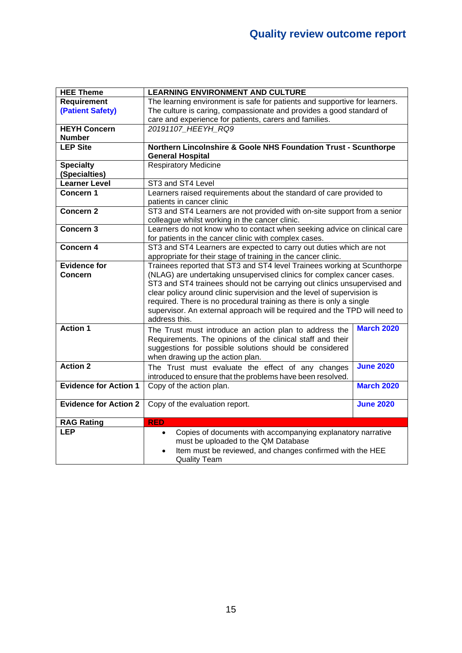| <b>HEE Theme</b>             | <b>LEARNING ENVIRONMENT AND CULTURE</b>                                    |                   |  |
|------------------------------|----------------------------------------------------------------------------|-------------------|--|
| <b>Requirement</b>           | The learning environment is safe for patients and supportive for learners. |                   |  |
| (Patient Safety)             | The culture is caring, compassionate and provides a good standard of       |                   |  |
|                              | care and experience for patients, carers and families.                     |                   |  |
| <b>HEYH Concern</b>          | 20191107 HEEYH RQ9                                                         |                   |  |
| <b>Number</b>                |                                                                            |                   |  |
| <b>LEP Site</b>              | Northern Lincolnshire & Goole NHS Foundation Trust - Scunthorpe            |                   |  |
|                              | <b>General Hospital</b>                                                    |                   |  |
| <b>Specialty</b>             | <b>Respiratory Medicine</b>                                                |                   |  |
| (Specialties)                |                                                                            |                   |  |
| <b>Learner Level</b>         | ST3 and ST4 Level                                                          |                   |  |
| Concern 1                    | Learners raised requirements about the standard of care provided to        |                   |  |
|                              | patients in cancer clinic                                                  |                   |  |
| Concern <sub>2</sub>         | ST3 and ST4 Learners are not provided with on-site support from a senior   |                   |  |
|                              | colleague whilst working in the cancer clinic.                             |                   |  |
| Concern 3                    | Learners do not know who to contact when seeking advice on clinical care   |                   |  |
|                              | for patients in the cancer clinic with complex cases.                      |                   |  |
| Concern 4                    | ST3 and ST4 Learners are expected to carry out duties which are not        |                   |  |
|                              | appropriate for their stage of training in the cancer clinic.              |                   |  |
| <b>Evidence for</b>          | Trainees reported that ST3 and ST4 level Trainees working at Scunthorpe    |                   |  |
| <b>Concern</b>               | (NLAG) are undertaking unsupervised clinics for complex cancer cases.      |                   |  |
|                              | ST3 and ST4 trainees should not be carrying out clinics unsupervised and   |                   |  |
|                              | clear policy around clinic supervision and the level of supervision is     |                   |  |
|                              | required. There is no procedural training as there is only a single        |                   |  |
|                              | supervisor. An external approach will be required and the TPD will need to |                   |  |
|                              | address this.                                                              |                   |  |
| <b>Action 1</b>              | The Trust must introduce an action plan to address the                     | <b>March 2020</b> |  |
|                              | Requirements. The opinions of the clinical staff and their                 |                   |  |
|                              | suggestions for possible solutions should be considered                    |                   |  |
|                              | when drawing up the action plan.                                           |                   |  |
| <b>Action 2</b>              | The Trust must evaluate the effect of any changes                          | <b>June 2020</b>  |  |
|                              | introduced to ensure that the problems have been resolved.                 |                   |  |
| <b>Evidence for Action 1</b> | Copy of the action plan.                                                   | <b>March 2020</b> |  |
|                              |                                                                            |                   |  |
| <b>Evidence for Action 2</b> | Copy of the evaluation report.                                             | <b>June 2020</b>  |  |
|                              |                                                                            |                   |  |
| <b>RAG Rating</b>            | <b>RED</b>                                                                 |                   |  |
| <b>LEP</b>                   | Copies of documents with accompanying explanatory narrative<br>$\bullet$   |                   |  |
|                              | must be uploaded to the QM Database                                        |                   |  |
|                              | Item must be reviewed, and changes confirmed with the HEE                  |                   |  |
|                              | <b>Quality Team</b>                                                        |                   |  |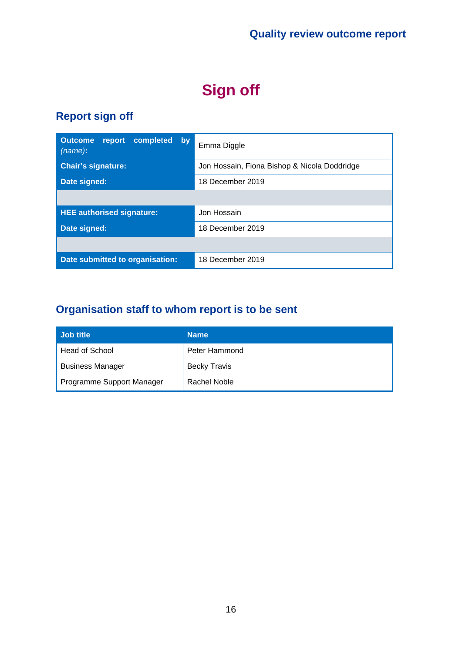# **Sign off**

### **Report sign off**

| <b>Outcome</b><br>report completed<br>by<br>(name): | Emma Diggle                                  |
|-----------------------------------------------------|----------------------------------------------|
| <b>Chair's signature:</b>                           | Jon Hossain, Fiona Bishop & Nicola Doddridge |
| Date signed:                                        | 18 December 2019                             |
|                                                     |                                              |
| <b>HEE authorised signature:</b>                    | Jon Hossain                                  |
| Date signed:                                        | 18 December 2019                             |
|                                                     |                                              |
| Date submitted to organisation:                     | 18 December 2019                             |

### **Organisation staff to whom report is to be sent**

| Job title                 | <b>Name</b>         |
|---------------------------|---------------------|
| Head of School            | Peter Hammond       |
| <b>Business Manager</b>   | <b>Becky Travis</b> |
| Programme Support Manager | Rachel Noble        |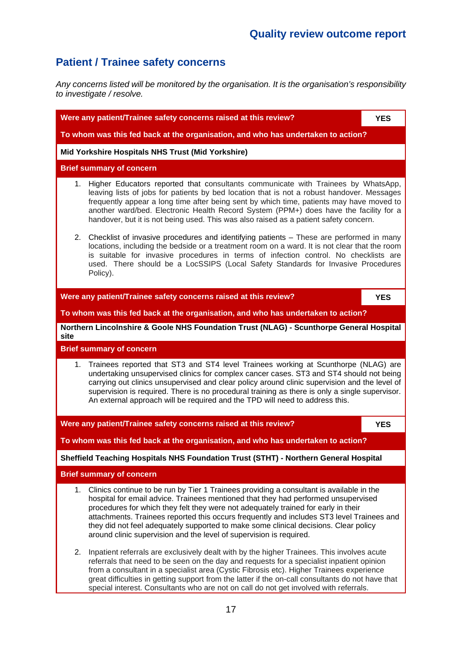### **Patient / Trainee safety concerns**

*Any concerns listed will be monitored by the organisation. It is the organisation's responsibility to investigate / resolve.*

|                                                                                                                                                                                                                                                                                                                                                                                                                                                                        | Were any patient/Trainee safety concerns raised at this review?                                                                                                                                                                                                                                                                                                                                                                                                                                                                        | <b>YES</b> |  |  |
|------------------------------------------------------------------------------------------------------------------------------------------------------------------------------------------------------------------------------------------------------------------------------------------------------------------------------------------------------------------------------------------------------------------------------------------------------------------------|----------------------------------------------------------------------------------------------------------------------------------------------------------------------------------------------------------------------------------------------------------------------------------------------------------------------------------------------------------------------------------------------------------------------------------------------------------------------------------------------------------------------------------------|------------|--|--|
| To whom was this fed back at the organisation, and who has undertaken to action?                                                                                                                                                                                                                                                                                                                                                                                       |                                                                                                                                                                                                                                                                                                                                                                                                                                                                                                                                        |            |  |  |
|                                                                                                                                                                                                                                                                                                                                                                                                                                                                        | Mid Yorkshire Hospitals NHS Trust (Mid Yorkshire)                                                                                                                                                                                                                                                                                                                                                                                                                                                                                      |            |  |  |
|                                                                                                                                                                                                                                                                                                                                                                                                                                                                        | <b>Brief summary of concern</b>                                                                                                                                                                                                                                                                                                                                                                                                                                                                                                        |            |  |  |
|                                                                                                                                                                                                                                                                                                                                                                                                                                                                        | 1. Higher Educators reported that consultants communicate with Trainees by WhatsApp,<br>leaving lists of jobs for patients by bed location that is not a robust handover. Messages<br>frequently appear a long time after being sent by which time, patients may have moved to<br>another ward/bed. Electronic Health Record System (PPM+) does have the facility for a<br>handover, but it is not being used. This was also raised as a patient safety concern.                                                                       |            |  |  |
| 2. Checklist of invasive procedures and identifying patients - These are performed in many<br>locations, including the bedside or a treatment room on a ward. It is not clear that the room<br>is suitable for invasive procedures in terms of infection control. No checklists are<br>used. There should be a LocSSIPS (Local Safety Standards for Invasive Procedures<br>Policy).                                                                                    |                                                                                                                                                                                                                                                                                                                                                                                                                                                                                                                                        |            |  |  |
|                                                                                                                                                                                                                                                                                                                                                                                                                                                                        | Were any patient/Trainee safety concerns raised at this review?                                                                                                                                                                                                                                                                                                                                                                                                                                                                        | <b>YES</b> |  |  |
|                                                                                                                                                                                                                                                                                                                                                                                                                                                                        | To whom was this fed back at the organisation, and who has undertaken to action?                                                                                                                                                                                                                                                                                                                                                                                                                                                       |            |  |  |
| site                                                                                                                                                                                                                                                                                                                                                                                                                                                                   | Northern Lincolnshire & Goole NHS Foundation Trust (NLAG) - Scunthorpe General Hospital                                                                                                                                                                                                                                                                                                                                                                                                                                                |            |  |  |
|                                                                                                                                                                                                                                                                                                                                                                                                                                                                        | <b>Brief summary of concern</b>                                                                                                                                                                                                                                                                                                                                                                                                                                                                                                        |            |  |  |
| Trainees reported that ST3 and ST4 level Trainees working at Scunthorpe (NLAG) are<br>1.<br>undertaking unsupervised clinics for complex cancer cases. ST3 and ST4 should not being<br>carrying out clinics unsupervised and clear policy around clinic supervision and the level of<br>supervision is required. There is no procedural training as there is only a single supervisor.<br>An external approach will be required and the TPD will need to address this. |                                                                                                                                                                                                                                                                                                                                                                                                                                                                                                                                        |            |  |  |
| Were any patient/Trainee safety concerns raised at this review?                                                                                                                                                                                                                                                                                                                                                                                                        |                                                                                                                                                                                                                                                                                                                                                                                                                                                                                                                                        | <b>YES</b> |  |  |
|                                                                                                                                                                                                                                                                                                                                                                                                                                                                        | To whom was this fed back at the organisation, and who has undertaken to action?                                                                                                                                                                                                                                                                                                                                                                                                                                                       |            |  |  |
| Sheffield Teaching Hospitals NHS Foundation Trust (STHT) - Northern General Hospital                                                                                                                                                                                                                                                                                                                                                                                   |                                                                                                                                                                                                                                                                                                                                                                                                                                                                                                                                        |            |  |  |
|                                                                                                                                                                                                                                                                                                                                                                                                                                                                        | <b>Brief summary of concern</b>                                                                                                                                                                                                                                                                                                                                                                                                                                                                                                        |            |  |  |
|                                                                                                                                                                                                                                                                                                                                                                                                                                                                        | Clinics continue to be run by Tier 1 Trainees providing a consultant is available in the<br>1.<br>hospital for email advice. Trainees mentioned that they had performed unsupervised<br>procedures for which they felt they were not adequately trained for early in their<br>attachments. Trainees reported this occurs frequently and includes ST3 level Trainees and<br>they did not feel adequately supported to make some clinical decisions. Clear policy<br>around clinic supervision and the level of supervision is required. |            |  |  |
| 2.                                                                                                                                                                                                                                                                                                                                                                                                                                                                     | Inpatient referrals are exclusively dealt with by the higher Trainees. This involves acute<br>referrals that need to be seen on the day and requests for a specialist inpatient opinion<br>from a consultant in a specialist area (Cystic Fibrosis etc). Higher Trainees experience<br>great difficulties in getting support from the latter if the on-call consultants do not have that<br>special interest. Consultants who are not on call do not get involved with referrals.                                                      |            |  |  |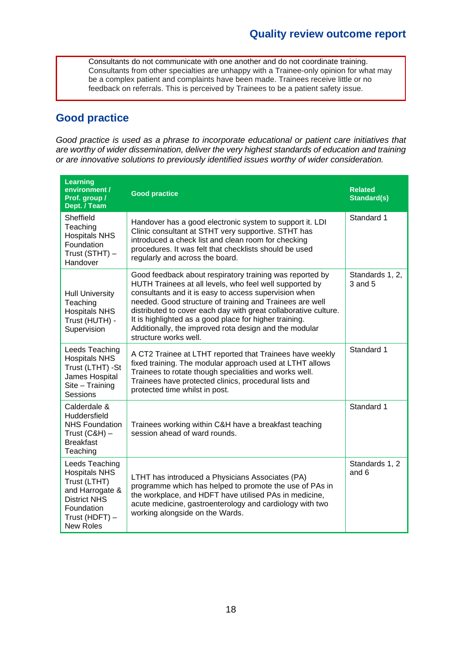Consultants do not communicate with one another and do not coordinate training. Consultants from other specialties are unhappy with a Trainee-only opinion for what may be a complex patient and complaints have been made. Trainees receive little or no feedback on referrals. This is perceived by Trainees to be a patient safety issue.

### **Good practice**

*Good practice is used as a phrase to incorporate educational or patient care initiatives that are worthy of wider dissemination, deliver the very highest standards of education and training or are innovative solutions to previously identified issues worthy of wider consideration.*

| <b>Learning</b><br>environment /<br>Prof. group /<br>Dept. / Team                                                                                    | <b>Good practice</b>                                                                                                                                                                                                                                                                                                                                                                                                                                     | <b>Related</b><br><b>Standard(s)</b> |
|------------------------------------------------------------------------------------------------------------------------------------------------------|----------------------------------------------------------------------------------------------------------------------------------------------------------------------------------------------------------------------------------------------------------------------------------------------------------------------------------------------------------------------------------------------------------------------------------------------------------|--------------------------------------|
| Sheffield<br>Teaching<br><b>Hospitals NHS</b><br>Foundation<br>Trust (STHT) -<br>Handover                                                            | Handover has a good electronic system to support it. LDI<br>Clinic consultant at STHT very supportive. STHT has<br>introduced a check list and clean room for checking<br>procedures. It was felt that checklists should be used<br>regularly and across the board.                                                                                                                                                                                      | Standard 1                           |
| <b>Hull University</b><br>Teaching<br><b>Hospitals NHS</b><br>Trust (HUTH) -<br>Supervision                                                          | Good feedback about respiratory training was reported by<br>HUTH Trainees at all levels, who feel well supported by<br>consultants and it is easy to access supervision when<br>needed. Good structure of training and Trainees are well<br>distributed to cover each day with great collaborative culture.<br>It is highlighted as a good place for higher training.<br>Additionally, the improved rota design and the modular<br>structure works well. | Standards 1, 2,<br>3 and 5           |
| Leeds Teaching<br><b>Hospitals NHS</b><br>Trust (LTHT) -St<br>James Hospital<br>Site - Training<br>Sessions                                          | A CT2 Trainee at LTHT reported that Trainees have weekly<br>fixed training. The modular approach used at LTHT allows<br>Trainees to rotate though specialities and works well.<br>Trainees have protected clinics, procedural lists and<br>protected time whilst in post.                                                                                                                                                                                | Standard 1                           |
| Calderdale &<br><b>Huddersfield</b><br><b>NHS Foundation</b><br>Trust $(C&H)$ –<br><b>Breakfast</b><br>Teaching                                      | Trainees working within C&H have a breakfast teaching<br>session ahead of ward rounds.                                                                                                                                                                                                                                                                                                                                                                   | Standard 1                           |
| Leeds Teaching<br><b>Hospitals NHS</b><br>Trust (LTHT)<br>and Harrogate &<br><b>District NHS</b><br>Foundation<br>Trust (HDFT) -<br><b>New Roles</b> | LTHT has introduced a Physicians Associates (PA)<br>programme which has helped to promote the use of PAs in<br>the workplace, and HDFT have utilised PAs in medicine,<br>acute medicine, gastroenterology and cardiology with two<br>working alongside on the Wards.                                                                                                                                                                                     | Standards 1, 2<br>and 6              |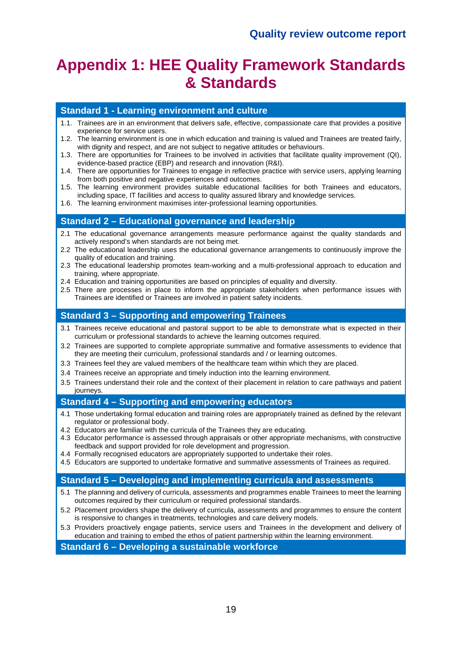# **Appendix 1: HEE Quality Framework Standards & Standards**

#### **Standard 1 - Learning environment and culture**

- 1.1. Trainees are in an environment that delivers safe, effective, compassionate care that provides a positive experience for service users.
- 1.2. The learning environment is one in which education and training is valued and Trainees are treated fairly, with dignity and respect, and are not subject to negative attitudes or behaviours.
- 1.3. There are opportunities for Trainees to be involved in activities that facilitate quality improvement (QI), evidence-based practice (EBP) and research and innovation (R&I).
- 1.4. There are opportunities for Trainees to engage in reflective practice with service users, applying learning from both positive and negative experiences and outcomes.
- 1.5. The learning environment provides suitable educational facilities for both Trainees and educators, including space, IT facilities and access to quality assured library and knowledge services.
- 1.6. The learning environment maximises inter-professional learning opportunities.

#### **Standard 2 – Educational governance and leadership**

- 2.1 The educational governance arrangements measure performance against the quality standards and actively respond's when standards are not being met.
- 2.2 The educational leadership uses the educational governance arrangements to continuously improve the quality of education and training.
- 2.3 The educational leadership promotes team-working and a multi-professional approach to education and training, where appropriate.
- 2.4 Education and training opportunities are based on principles of equality and diversity.
- 2.5 There are processes in place to inform the appropriate stakeholders when performance issues with Trainees are identified or Trainees are involved in patient safety incidents.

#### **Standard 3 – Supporting and empowering Trainees**

- 3.1 Trainees receive educational and pastoral support to be able to demonstrate what is expected in their curriculum or professional standards to achieve the learning outcomes required.
- 3.2 Trainees are supported to complete appropriate summative and formative assessments to evidence that they are meeting their curriculum, professional standards and / or learning outcomes.
- 3.3 Trainees feel they are valued members of the healthcare team within which they are placed.
- 3.4 Trainees receive an appropriate and timely induction into the learning environment.
- 3.5 Trainees understand their role and the context of their placement in relation to care pathways and patient journeys.

#### **Standard 4 – Supporting and empowering educators**

- 4.1 Those undertaking formal education and training roles are appropriately trained as defined by the relevant regulator or professional body.
- 4.2 Educators are familiar with the curricula of the Trainees they are educating.
- 4.3 Educator performance is assessed through appraisals or other appropriate mechanisms, with constructive feedback and support provided for role development and progression.
- 4.4 Formally recognised educators are appropriately supported to undertake their roles.
- 4.5 Educators are supported to undertake formative and summative assessments of Trainees as required.

#### **Standard 5 – Developing and implementing curricula and assessments**

- 5.1 The planning and delivery of curricula, assessments and programmes enable Trainees to meet the learning outcomes required by their curriculum or required professional standards.
- 5.2 Placement providers shape the delivery of curricula, assessments and programmes to ensure the content is responsive to changes in treatments, technologies and care delivery models.
- 5.3 Providers proactively engage patients, service users and Trainees in the development and delivery of education and training to embed the ethos of patient partnership within the learning environment.

#### **Standard 6 – Developing a sustainable workforce**